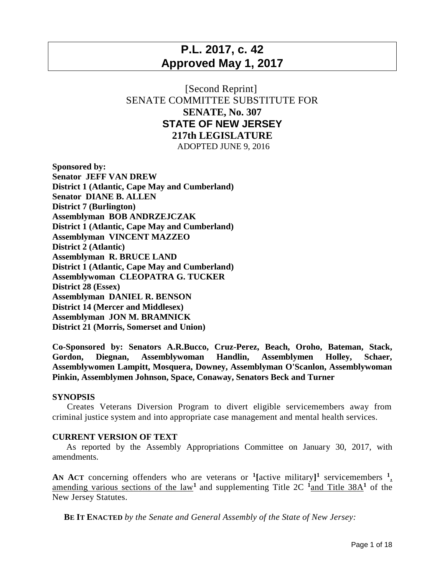## **P.L. 2017, c. 42 Approved May 1, 2017**

## [Second Reprint] SENATE COMMITTEE SUBSTITUTE FOR **SENATE, No. 307 STATE OF NEW JERSEY 217th LEGISLATURE**

ADOPTED JUNE 9, 2016

**Sponsored by: Senator JEFF VAN DREW District 1 (Atlantic, Cape May and Cumberland) Senator DIANE B. ALLEN District 7 (Burlington) Assemblyman BOB ANDRZEJCZAK District 1 (Atlantic, Cape May and Cumberland) Assemblyman VINCENT MAZZEO District 2 (Atlantic) Assemblyman R. BRUCE LAND District 1 (Atlantic, Cape May and Cumberland) Assemblywoman CLEOPATRA G. TUCKER District 28 (Essex) Assemblyman DANIEL R. BENSON District 14 (Mercer and Middlesex) Assemblyman JON M. BRAMNICK District 21 (Morris, Somerset and Union)**

**Co-Sponsored by: Senators A.R.Bucco, Cruz-Perez, Beach, Oroho, Bateman, Stack, Gordon, Diegnan, Assemblywoman Handlin, Assemblymen Holley, Schaer, Assemblywomen Lampitt, Mosquera, Downey, Assemblyman O'Scanlon, Assemblywoman Pinkin, Assemblymen Johnson, Space, Conaway, Senators Beck and Turner**

## **SYNOPSIS**

 Creates Veterans Diversion Program to divert eligible servicemembers away from criminal justice system and into appropriate case management and mental health services.

## **CURRENT VERSION OF TEXT**

 As reported by the Assembly Appropriations Committee on January 30, 2017, with amendments.

AN ACT concerning offenders who are veterans or  $\frac{1}{2}$  [active military]<sup>1</sup> servicemembers  $\frac{1}{2}$ amending various sections of the  $law<sup>1</sup>$  and supplementing Title 2C  $<sup>1</sup>$ and Title 38A<sup>1</sup> of the</sup> New Jersey Statutes.

 **BE IT ENACTED** *by the Senate and General Assembly of the State of New Jersey:*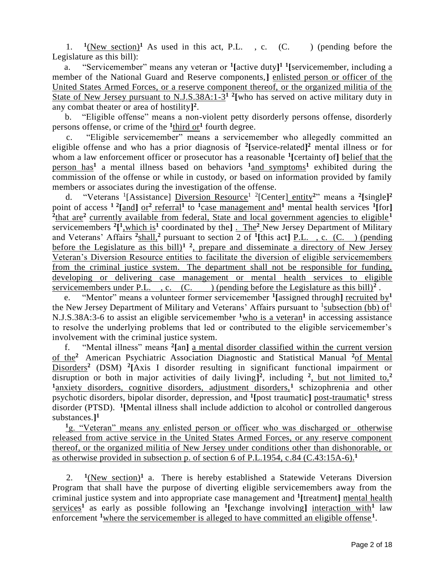1.  $\frac{1}{2}(\text{New section})^1$  As used in this act, P.L., c. (C.) (pending before the Legislature as this bill):

 a. "Servicemember" means any veteran or **<sup>1</sup> [**active duty**] 1 1 [**servicemember, including a member of the National Guard and Reserve components,**]** enlisted person or officer of the United States Armed Forces, or a reserve component thereof, or the organized militia of the State of New Jersey pursuant to N.J.S.38A:1-3<sup>1</sup> <sup>2</sup> [who has served on active military duty in any combat theater or area of hostility**] 2** .

 b. "Eligible offense" means a non-violent petty disorderly persons offense, disorderly persons offense, or crime of the <sup>1</sup>third or<sup>1</sup> fourth degree.

 c. "Eligible servicemember" means a servicemember who allegedly committed an eligible offense and who has a prior diagnosis of **<sup>2</sup> [**service-related**] <sup>2</sup>** mental illness or for whom a law enforcement officer or prosecutor has a reasonable **<sup>1</sup> [**certainty of**]** belief that the person has**<sup>1</sup>** a mental illness based on behaviors **<sup>1</sup>**and symptoms**<sup>1</sup>** exhibited during the commission of the offense or while in custody, or based on information provided by family members or associates during the investigation of the offense.

d. "Veterans <sup>1</sup>[Assistance] Diversion Resource<sup>1</sup> <sup>2</sup>[Center] entity<sup>2</sup>" means a <sup>2</sup>[single]<sup>2</sup> point of access <sup>1 2</sup>[and] or<sup>2</sup> referral<sup>1</sup> to <sup>1</sup>case management and<sup>1</sup> mental health services <sup>1</sup>[for] <sup>2</sup>that are<sup>2</sup> currently available from federal, State and local government agencies to eligible<sup>1</sup> servicemembers <sup>2</sup><sup>[1</sup>, which is<sup>1</sup> coordinated by the<sup>[1]</sup> . The<sup>2</sup> New Jersey Department of Military and Veterans' Affairs **<sup>2</sup>** shall,**<sup>2</sup>** pursuant to section 2 of **<sup>1</sup> [**this act**]** P.L. , c. (C. ) (pending before the Legislature as this bill)**<sup>1</sup> <sup>2</sup>** , prepare and disseminate a directory of New Jersey Veteran's Diversion Resource entities to facilitate the diversion of eligible servicemembers from the criminal justice system. The department shall not be responsible for funding, developing or delivering case management or mental health services to eligible servicemembers under P.L., c.  $(C.$  (pending before the Legislature as this bill)<sup>2</sup>.

 e. "Mentor" means a volunteer former servicemember **<sup>1</sup> [**assigned through**]** recruited by**<sup>1</sup>** the New Jersey Department of Military and Veterans' Affairs pursuant to  $\frac{1}{1}$  subsection (bb) of  $1$ N.J.S.38A:3-6 to assist an eligible servicemember **<sup>1</sup>**who is a veteran**<sup>1</sup>** in accessing assistance to resolve the underlying problems that led or contributed to the eligible servicemember's involvement with the criminal justice system.

 f. "Mental illness" means **<sup>2</sup> [**an**]** a mental disorder classified within the current version of the**<sup>2</sup>** American Psychiatric Association Diagnostic and Statistical Manual **<sup>2</sup>**of Mental Disorders<sup>2</sup> (DSM) <sup>2</sup>[Axis I disorder resulting in significant functional impairment or disruption or both in major activities of daily living**] 2** , including **<sup>2</sup>** , but not limited to,**<sup>2</sup>** <sup>1</sup>anxiety disorders, cognitive disorders, adjustment disorders,<sup>1</sup> schizophrenia and other psychotic disorders, bipolar disorder, depression, and **<sup>1</sup> [**post traumatic**]** post-traumatic**<sup>1</sup>** stress disorder (PTSD). **<sup>1</sup> [**Mental illness shall include addiction to alcohol or controlled dangerous substances.**] 1**

**<sup>1</sup>**g. "Veteran" means any enlisted person or officer who was discharged or otherwise released from active service in the United States Armed Forces, or any reserve component thereof, or the organized militia of New Jersey under conditions other than dishonorable, or as otherwise provided in subsection p. of section 6 of P.L.1954, c.84 (C.43:15A-6).**<sup>1</sup>**

 2.  $1(New section)^1$  a. There is hereby established a Statewide Veterans Diversion Program that shall have the purpose of diverting eligible servicemembers away from the criminal justice system and into appropriate case management and **<sup>1</sup> [**treatment**]** mental health  $\frac{\text{series}}{1}$  as early as possible following an <sup>1</sup> [exchange involving] interaction with<sup>1</sup> law enforcement <sup>1</sup>where the servicemember is alleged to have committed an eligible offense<sup>1</sup>.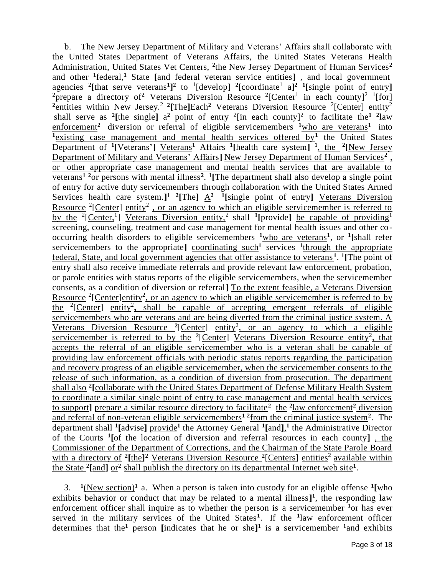b. The New Jersey Department of Military and Veterans' Affairs shall collaborate with the United States Department of Veterans Affairs, the United States Veterans Health Administration, United States Vet Centers, <sup>2</sup>the New Jersey Department of Human Services<sup>2</sup> and other **<sup>1</sup>** federal,**<sup>1</sup>** State **[**and federal veteran service entities**]** , and local government agencies <sup>2</sup>[that serve veterans<sup>1</sup>]<sup>2</sup> to <sup>1</sup>[develop] <sup>2</sup>[coordinate<sup>1</sup> a]<sup>2</sup> <sup>1</sup>[single point of entry] <sup>2</sup> prepare a directory of <sup>2</sup> Veterans Diversion Resource <sup>2</sup> [Center<sup>1</sup> in each county]<sup>2</sup> <sup>1</sup> [for] <sup>2</sup> entities within New Jersey.<sup>2</sup> <sup>2</sup> [The **]**Each<sup>2</sup> Veterans Diversion Resource <sup>2</sup> [Center] entity<sup>2</sup> shall serve as <sup>2</sup>[the single]  $a^2$  point of entry <sup>2</sup>[in each county]<sup>2</sup> to facilitate the<sup>1</sup> <sup>2</sup>law enforcement<sup>2</sup> diversion or referral of eligible servicemembers <sup>1</sup>who are veterans<sup>1</sup> into <sup>1</sup>/<sub>existing case management and mental health services offered by<sup>1</sup> the United States</sub> Department of <sup>1</sup>[Veterans'] Veterans<sup>1</sup> Affairs <sup>1</sup>[health care system] <sup>1</sup>, the <sup>2</sup>[New Jersey Department of Military and Veterans' Affairs**]** New Jersey Department of Human Services**<sup>2</sup>** , or other appropriate case management and mental health services that are available to veterans**<sup>1</sup> <sup>2</sup>**or persons with mental illness**<sup>2</sup>** . **1 [**The department shall also develop a single point of entry for active duty servicemembers through collaboration with the United States Armed Services health care system.<sup>1</sup><sup>2</sup>[The]  $\underline{A}^2$  <sup>1</sup>[single point of entry] <u>Veterans Diversion</u> Resource <sup>2</sup>[Center] entity<sup>2</sup>, or an agency to which an eligible servicemember is referred to by the <sup>2</sup>[Center,<sup>1</sup>] Veterans Diversion entity,<sup>2</sup> shall <sup>1</sup>[provide] be capable of providing<sup>1</sup> screening, counseling, treatment and case management for mental health issues and other cooccurring health disorders to eligible servicemembers **<sup>1</sup>**who are veterans**<sup>1</sup>** , or **<sup>1</sup> [**shall refer servicemembers to the appropriate] coordinating such<sup>1</sup> services <sup>1</sup>through the appropriate federal, State, and local government agencies that offer assistance to veterans **<sup>1</sup>** . **1 [**The point of entry shall also receive immediate referrals and provide relevant law enforcement, probation, or parole entities with status reports of the eligible servicemembers, when the servicemember consents, as a condition of diversion or referral**]** To the extent feasible, a Veterans Diversion Resource <sup>2</sup>[Center]entity<sup>2</sup>, or an agency to which an eligible servicemember is referred to by the <sup>2</sup>[Center] entity<sup>2</sup>, shall be capable of accepting emergent referrals of eligible servicemembers who are veterans and are being diverted from the criminal justice system. A Veterans Diversion Resource <sup>2</sup>[Center] entity<sup>2</sup>, or an agency to which a eligible servicemember is referred to by the <sup>2</sup>[Center] Veterans Diversion Resource entity<sup>2</sup>, that accepts the referral of an eligible servicemember who is a veteran shall be capable of providing law enforcement officials with periodic status reports regarding the participation and recovery progress of an eligible servicemember, when the servicemember consents to the release of such information, as a condition of diversion from prosecution. The department shall also **<sup>2</sup> [**collaborate with the United States Department of Defense Military Health System to coordinate a similar single point of entry to case management and mental health services to support**]** prepare a similar resource directory to facilitate**<sup>2</sup>** the **<sup>2</sup>** law enforcement**<sup>2</sup>** diversion and referral of non-veteran eligible servicemembers**1 2**from the criminal justice system**<sup>2</sup>** . The department shall **<sup>1</sup> [**advise**]** provide**<sup>1</sup>** the Attorney General **<sup>1</sup> [**and**]**, **1** the Administrative Director of the Courts **<sup>1</sup> [**of the location of diversion and referral resources in each county**]** , the Commissioner of the Department of Corrections, and the Chairman of the State Parole Board with a directory of <sup>2</sup>[the]<sup>2</sup> Veterans Diversion Resource <sup>2</sup>[Centers] entities<sup>2</sup> available within the State <sup>2</sup>[and]  $\sigma r^2$  shall publish the directory on its departmental Internet web site<sup>1</sup>.

 3. **1** (New section)**<sup>1</sup>**a. When a person is taken into custody for an eligible offense **<sup>1</sup> [**who exhibits behavior or conduct that may be related to a mental illness<sup> $]$ 1</sup>, the responding law enforcement officer shall inquire as to whether the person is a servicemember **<sup>1</sup>**or has ever served in the military services of the United States**<sup>1</sup>** . If the **<sup>1</sup>** law enforcement officer determines that the**<sup>1</sup>** person **[**indicates that he or she**] 1** is a servicemember **1**and exhibits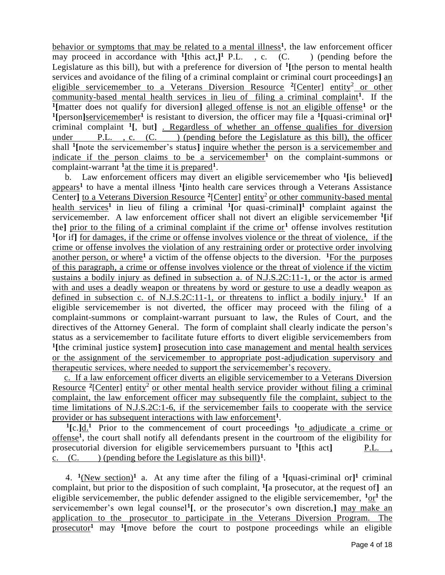behavior or symptoms that may be related to a mental illness<sup>1</sup>, the law enforcement officer may proceed in accordance with **<sup>1</sup> [**this act,**] 1** (pending before the Legislature as this bill), but with a preference for diversion of **<sup>1</sup> [**the person to mental health services and avoidance of the filing of a criminal complaint or criminal court proceedings**]** an eligible servicemember to a Veterans Diversion Resource <sup>2</sup>[Center] entity<sup>2</sup> or other community-based mental health services in lieu of filing a criminal complaint**<sup>1</sup>** . If the **1 [**matter does not qualify for diversion**]** alleged offense is not an eligible offense**<sup>1</sup>** or the **1 [**person**]**servicemember**<sup>1</sup>** is resistant to diversion, the officer may file a **<sup>1</sup> [**quasi-criminal or**] 1** criminal complaint **<sup>1</sup> [**, but**]** . Regardless of whether an offense qualifies for diversion under  $P.L.$ , c.  $(C.$  ) (pending before the Legislature as this bill), the officer shall **<sup>1</sup> [**note the servicemember's status**]** inquire whether the person is a servicemember and indicate if the person claims to be a servicemember**<sup>1</sup>** on the complaint-summons or complaint-warrant **<sup>1</sup>**at the time it is prepared**<sup>1</sup>** .

 b. Law enforcement officers may divert an eligible servicemember who **<sup>1</sup> [**is believed**]** appears**<sup>1</sup>** to have a mental illness **<sup>1</sup> [**into health care services through a Veterans Assistance Center] to a Veterans Diversion Resource <sup>2</sup>[Center] entity<sup>2</sup> or other community-based mental health services**<sup>1</sup>** in lieu of filing a criminal **<sup>1</sup> [**or quasi-criminal**] <sup>1</sup>** complaint against the servicemember. A law enforcement officer shall not divert an eligible servicemember **<sup>1</sup> [**if the**]** prior to the filing of a criminal complaint if the crime or**<sup>1</sup>** offense involves restitution <sup>1</sup>[or if] <u>for damages, if the crime or offense involves violence or the threat of violence, if the</u> crime or offense involves the violation of any restraining order or protective order involving another person, or where<sup>1</sup> a victim of the offense objects to the diversion. <sup>1</sup>For the purposes of this paragraph, a crime or offense involves violence or the threat of violence if the victim sustains a bodily injury as defined in subsection a. of N.J.S.2C:11-1, or the actor is armed with and uses a deadly weapon or threatens by word or gesture to use a deadly weapon as defined in subsection c. of N.J.S.2C:11-1, or threatens to inflict a bodily injury.<sup>1</sup> If an eligible servicemember is not diverted, the officer may proceed with the filing of a complaint-summons or complaint-warrant pursuant to law, the Rules of Court, and the directives of the Attorney General. The form of complaint shall clearly indicate the person's status as a servicemember to facilitate future efforts to divert eligible servicemembers from <sup>1</sup>[the criminal justice system] prosecution into case management and mental health services or the assignment of the servicemember to appropriate post-adjudication supervisory and therapeutic services, where needed to support the servicemember's recovery.

 c. If a law enforcement officer diverts an eligible servicemember to a Veterans Diversion Resource <sup>2</sup>[Center] entity<sup>2</sup> or other mental health service provider without filing a criminal complaint, the law enforcement officer may subsequently file the complaint, subject to the time limitations of N.J.S.2C:1-6, if the servicemember fails to cooperate with the service provider or has subsequent interactions with law enforcement**<sup>1</sup>** .

<sup>1</sup>[c.]<sup>d.</sup><sup>1</sup> Prior to the commencement of court proceedings <sup>1</sup><sup>to</sup> adjudicate a crime or offense**<sup>1</sup>** , the court shall notify all defendants present in the courtroom of the eligibility for prosecutorial diversion for eligible servicemembers pursuant to <sup>1</sup>[this act] P.L., c.  $(C.$  (pending before the Legislature as this bill)<sup>1</sup>.

4. <sup>1</sup>(New section)<sup>1</sup> a. At any time after the filing of a <sup>1</sup>[quasi-criminal or]<sup>1</sup> criminal complaint, but prior to the disposition of such complaint, **<sup>1</sup> [**a prosecutor, at the request of**]** an eligible servicemember, the public defender assigned to the eligible servicemember,  $1_{\text{OT}}^1$  the servicemember's own legal counsel**<sup>1</sup> [**, or the prosecutor's own discretion,**]** may make an application to the prosecutor to participate in the Veterans Diversion Program. The prosecutor**<sup>1</sup>** may **<sup>1</sup> [**move before the court to postpone proceedings while an eligible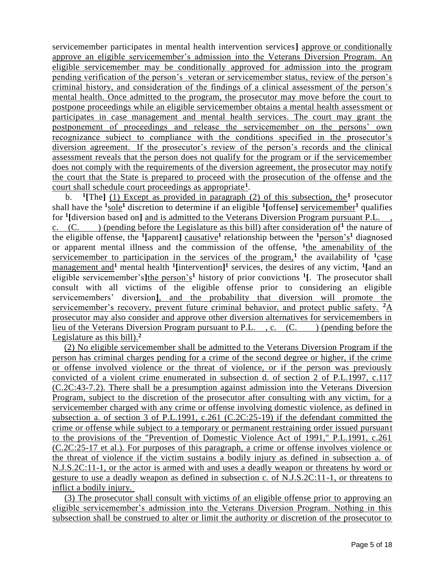servicemember participates in mental health intervention services**]** approve or conditionally approve an eligible servicemember's admission into the Veterans Diversion Program. An eligible servicemember may be conditionally approved for admission into the program pending verification of the person's veteran or servicemember status, review of the person's criminal history, and consideration of the findings of a clinical assessment of the person's mental health. Once admitted to the program, the prosecutor may move before the court to postpone proceedings while an eligible servicemember obtains a mental health assessment or participates in case management and mental health services. The court may grant the postponement of proceedings and release the servicemember on the persons' own recognizance subject to compliance with the conditions specified in the prosecutor's diversion agreement. If the prosecutor's review of the person's records and the clinical assessment reveals that the person does not qualify for the program or if the servicemember does not comply with the requirements of the diversion agreement, the prosecutor may notify the court that the State is prepared to proceed with the prosecution of the offense and the court shall schedule court proceedings as appropriate**<sup>1</sup>** .

 $h_{\perp}$ <sup>1</sup>[The] (1) Except as provided in paragraph (2) of this subsection, the<sup>1</sup> prosecutor shall have the **<sup>1</sup>** sole**<sup>1</sup>** discretion to determine if an eligible **<sup>1</sup> [**offense**]** servicemember**<sup>1</sup>** qualifies for <sup>1</sup>[diversion based on] and is admitted to the Veterans Diversion Program pursuant P.L., c.  $(C.$  (pending before the Legislature as this bill) after consideration of<sup>1</sup> the nature of the eligible offense, the **<sup>1</sup> [**apparent**]** causative**<sup>1</sup>** relationship between the **<sup>1</sup>**person's**<sup>1</sup>** diagnosed or apparent mental illness and the commission of the offense, **<sup>1</sup>** the amenability of the servicemember to participation in the services of the program,<sup>1</sup> the availability of  $\frac{1}{\text{case}}$ management and**<sup>1</sup>** mental health **<sup>1</sup> [**intervention**] 1** services, the desires of any victim, **<sup>1</sup> [**and an eligible servicemember's**]**the person's**<sup>1</sup>** history of prior convictions **<sup>1</sup> [**. The prosecutor shall consult with all victims of the eligible offense prior to considering an eligible servicemembers' diversion**]**, and the probability that diversion will promote the servicemember's recovery, prevent future criminal behavior, and protect public safety. **<sup>2</sup>**A prosecutor may also consider and approve other diversion alternatives for servicemembers in lieu of the Veterans Diversion Program pursuant to P.L., c. (C.) (pending before the Legislature as this bill).**<sup>2</sup>**

 (2) No eligible servicemember shall be admitted to the Veterans Diversion Program if the person has criminal charges pending for a crime of the second degree or higher, if the crime or offense involved violence or the threat of violence, or if the person was previously convicted of a violent crime enumerated in subsection d. of section 2 of P.L.1997, c.117 (C.2C:43-7.2). There shall be a presumption against admission into the Veterans Diversion Program, subject to the discretion of the prosecutor after consulting with any victim, for a servicemember charged with any crime or offense involving domestic violence, as defined in subsection a. of section 3 of P.L.1991, c.261 (C.2C:25-19) if the defendant committed the crime or offense while subject to a temporary or permanent restraining order issued pursuant to the provisions of the "Prevention of Domestic Violence Act of 1991," P.L.1991, c.261 (C.2C:25-17 et al.). For purposes of this paragraph, a crime or offense involves violence or the threat of violence if the victim sustains a bodily injury as defined in subsection a. of N.J.S.2C:11-1, or the actor is armed with and uses a deadly weapon or threatens by word or gesture to use a deadly weapon as defined in subsection c. of N.J.S.2C:11-1, or threatens to inflict a bodily injury.

 (3) The prosecutor shall consult with victims of an eligible offense prior to approving an eligible servicemember's admission into the Veterans Diversion Program. Nothing in this subsection shall be construed to alter or limit the authority or discretion of the prosecutor to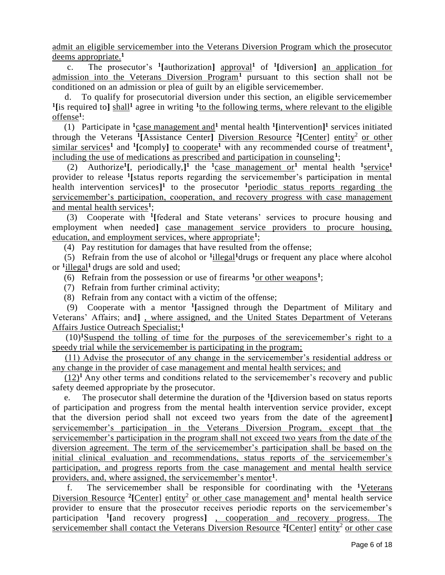admit an eligible servicemember into the Veterans Diversion Program which the prosecutor deems appropriate.**<sup>1</sup>**

 c. The prosecutor's **<sup>1</sup> [**authorization**]** approval**<sup>1</sup>** of **<sup>1</sup> [**diversion**]** an application for admission into the Veterans Diversion Program**<sup>1</sup>** pursuant to this section shall not be conditioned on an admission or plea of guilt by an eligible servicemember.

 d. To qualify for prosecutorial diversion under this section, an eligible servicemember <sup>1</sup>[is required to]  $\frac{\text{shall}^1}{\text{shall}^1}$  agree in writing <sup>1</sup> to the following terms, where relevant to the eligible offense**<sup>1</sup>** :

(1) Participate in  $\frac{1}{2}$  case management and mental health  $\frac{1}{2}$  [intervention] services initiated through the Veterans <sup>1</sup>[Assistance Center] Diversion Resource <sup>2</sup>[Center] entity<sup>2</sup> or other similar services<sup>1</sup> and <sup>1</sup>[comply] to cooperate<sup>1</sup> with any recommended course of treatment<sup>1</sup>, including the use of medications as prescribed and participation in counseling**<sup>1</sup>** ;

(2) Authorize<sup>1</sup>, periodically,<sup>1</sup> the <sup>1</sup>case management or<sup>1</sup> mental health <sup>1</sup>service<sup>1</sup> provider to release **<sup>1</sup> [**status reports regarding the servicemember's participation in mental health intervention services**] 1** to the prosecutor **<sup>1</sup>**periodic status reports regarding the servicemember's participation, cooperation, and recovery progress with case management and mental health services**<sup>1</sup>** ;

 (3) Cooperate with **<sup>1</sup> [**federal and State veterans' services to procure housing and employment when needed**]** case management service providers to procure housing, education, and employment services, where appropriate**<sup>1</sup>** ;

(4) Pay restitution for damages that have resulted from the offense;

 (5) Refrain from the use of alcohol or **<sup>1</sup>** illegal**<sup>1</sup>**drugs or frequent any place where alcohol or **<sup>1</sup>** illegal**<sup>1</sup>**drugs are sold and used;

(6) Refrain from the possession or use of firearms  $\frac{1}{x}$  other weapons<sup>1</sup>;

(7) Refrain from further criminal activity;

(8) Refrain from any contact with a victim of the offense;

 (9) Cooperate with a mentor **<sup>1</sup> [**assigned through the Department of Military and Veterans' Affairs; and**]** , where assigned, and the United States Department of Veterans Affairs Justice Outreach Specialist;**<sup>1</sup>**

 (10)**<sup>1</sup>**Suspend the tolling of time for the purposes of the serevicemember's right to a speedy trial while the servicemember is participating in the program;

 (11) Advise the prosecutor of any change in the servicemember's residential address or any change in the provider of case management and mental health services; and

 $(12)^1$  Any other terms and conditions related to the servicemember's recovery and public safety deemed appropriate by the prosecutor.

 e. The prosecutor shall determine the duration of the **<sup>1</sup> [**diversion based on status reports of participation and progress from the mental health intervention service provider, except that the diversion period shall not exceed two years from the date of the agreement**]** servicemember's participation in the Veterans Diversion Program, except that the servicemember's participation in the program shall not exceed two years from the date of the diversion agreement. The term of the servicemember's participation shall be based on the initial clinical evaluation and recommendations, status reports of the servicemember's participation, and progress reports from the case management and mental health service providers, and, where assigned, the servicemember's mentor**<sup>1</sup>** .

 f. The servicemember shall be responsible for coordinating with the **<sup>1</sup>**Veterans Diversion Resource <sup>2</sup>[Center] entity<sup>2</sup> or other case management and<sup>1</sup> mental health service provider to ensure that the prosecutor receives periodic reports on the servicemember's participation **<sup>1</sup> [**and recovery progress**]** , cooperation and recovery progress. The servicemember shall contact the Veterans Diversion Resource <sup>2</sup>[Center] entity<sup>2</sup> or other case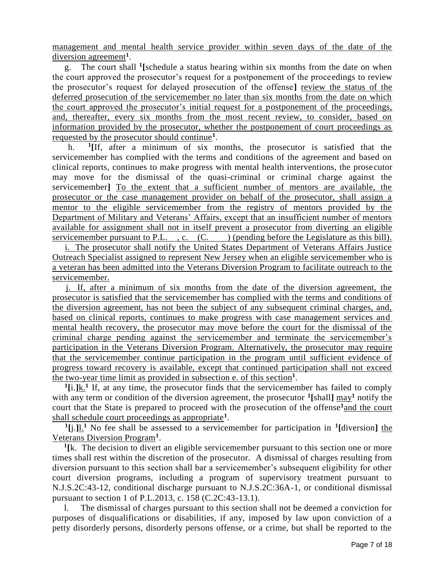management and mental health service provider within seven days of the date of the diversion agreement<sup>1</sup>.

 g. The court shall **<sup>1</sup> [**schedule a status hearing within six months from the date on when the court approved the prosecutor's request for a postponement of the proceedings to review the prosecutor's request for delayed prosecution of the offense**]** review the status of the deferred prosecution of the servicemember no later than six months from the date on which the court approved the prosecutor's initial request for a postponement of the proceedings, and, thereafter, every six months from the most recent review, to consider, based on information provided by the prosecutor, whether the postponement of court proceedings as requested by the prosecutor should continue**<sup>1</sup>** .

 h. **1 [**If, after a minimum of six months, the prosecutor is satisfied that the servicemember has complied with the terms and conditions of the agreement and based on clinical reports, continues to make progress with mental health interventions, the prosecutor may move for the dismissal of the quasi-criminal or criminal charge against the servicemember**]** To the extent that a sufficient number of mentors are available, the prosecutor or the case management provider on behalf of the prosecutor, shall assign a mentor to the eligible servicemember from the registry of mentors provided by the Department of Military and Veterans' Affairs, except that an insufficient number of mentors available for assignment shall not in itself prevent a prosecutor from diverting an eligible servicemember pursuant to P.L. , c.  $(C.$  ) (pending before the Legislature as this bill).

 i. The prosecutor shall notify the United States Department of Veterans Affairs Justice Outreach Specialist assigned to represent New Jersey when an eligible servicemember who is a veteran has been admitted into the Veterans Diversion Program to facilitate outreach to the servicemember.

 j. If, after a minimum of six months from the date of the diversion agreement, the prosecutor is satisfied that the servicemember has complied with the terms and conditions of the diversion agreement, has not been the subject of any subsequent criminal charges, and, based on clinical reports, continues to make progress with case management services and mental health recovery, the prosecutor may move before the court for the dismissal of the criminal charge pending against the servicemember and terminate the servicemember's participation in the Veterans Diversion Program. Alternatively, the prosecutor may require that the servicemember continue participation in the program until sufficient evidence of progress toward recovery is available, except that continued participation shall not exceed the two-year time limit as provided in subsection e. of this section**<sup>1</sup>** .

 $\frac{1}{\text{Li}}$ , If, at any time, the prosecutor finds that the servicemember has failed to comply with any term or condition of the diversion agreement, the prosecutor **<sup>1</sup> [**shall**]** may**<sup>1</sup>** notify the court that the State is prepared to proceed with the prosecution of the offense**<sup>1</sup>**and the court shall schedule court proceedings as appropriate**<sup>1</sup>** .

 $\frac{1}{\ln}$  No fee shall be assessed to a servicemember for participation in <sup>1</sup>[diversion] the Veterans Diversion Program**<sup>1</sup>** .

<sup>1</sup>[k. The decision to divert an eligible servicemember pursuant to this section one or more times shall rest within the discretion of the prosecutor. A dismissal of charges resulting from diversion pursuant to this section shall bar a servicemember's subsequent eligibility for other court diversion programs, including a program of supervisory treatment pursuant to N.J.S.2C:43-12, conditional discharge pursuant to N.J.S.2C:36A-1, or conditional dismissal pursuant to section 1 of P.L.2013, c. 158 (C.2C:43-13.1).

 l. The dismissal of charges pursuant to this section shall not be deemed a conviction for purposes of disqualifications or disabilities, if any, imposed by law upon conviction of a petty disorderly persons, disorderly persons offense, or a crime, but shall be reported to the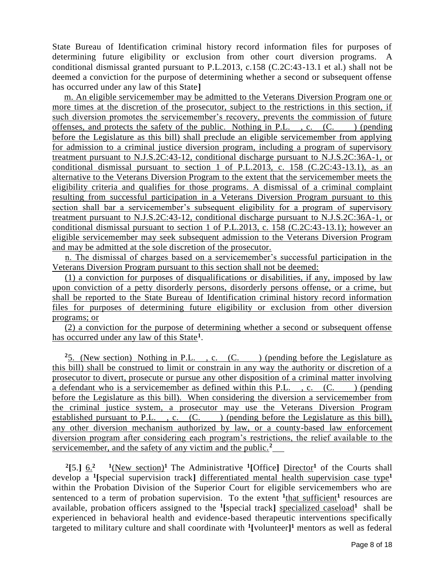State Bureau of Identification criminal history record information files for purposes of determining future eligibility or exclusion from other court diversion programs. A conditional dismissal granted pursuant to P.L.2013, c.158 (C.2C:43-13.1 et al.) shall not be deemed a conviction for the purpose of determining whether a second or subsequent offense has occurred under any law of this State**]**

 m. An eligible servicemember may be admitted to the Veterans Diversion Program one or more times at the discretion of the prosecutor, subject to the restrictions in this section, if such diversion promotes the servicemember's recovery, prevents the commission of future offenses, and protects the safety of the public. Nothing in P.L., c.  $(C.$  (pending before the Legislature as this bill) shall preclude an eligible servicemember from applying for admission to a criminal justice diversion program, including a program of supervisory treatment pursuant to N.J.S.2C:43-12, conditional discharge pursuant to N.J.S.2C:36A-1, or conditional dismissal pursuant to section 1 of P.L.2013, c. 158 (C.2C:43-13.1), as an alternative to the Veterans Diversion Program to the extent that the servicemember meets the eligibility criteria and qualifies for those programs. A dismissal of a criminal complaint resulting from successful participation in a Veterans Diversion Program pursuant to this section shall bar a servicemember's subsequent eligibility for a program of supervisory treatment pursuant to N.J.S.2C:43-12, conditional discharge pursuant to N.J.S.2C:36A-1, or conditional dismissal pursuant to section 1 of P.L.2013, c. 158 (C.2C:43-13.1); however an eligible servicemember may seek subsequent admission to the Veterans Diversion Program and may be admitted at the sole discretion of the prosecutor.

 n. The dismissal of charges based on a servicemember's successful participation in the Veterans Diversion Program pursuant to this section shall not be deemed:

 (1) a conviction for purposes of disqualifications or disabilities, if any, imposed by law upon conviction of a petty disorderly persons, disorderly persons offense, or a crime, but shall be reported to the State Bureau of Identification criminal history record information files for purposes of determining future eligibility or exclusion from other diversion programs; or

 (2) a conviction for the purpose of determining whether a second or subsequent offense has occurred under any law of this State**<sup>1</sup>** .

<sup>2</sup>5. (New section) Nothing in P.L., c. (C.) (pending before the Legislature as this bill) shall be construed to limit or constrain in any way the authority or discretion of a prosecutor to divert, prosecute or pursue any other disposition of a criminal matter involving a defendant who is a servicemember as defined within this P.L.  $\ldots$  (C. ) (pending before the Legislature as this bill). When considering the diversion a servicemember from the criminal justice system, a prosecutor may use the Veterans Diversion Program established pursuant to P.L.  $\cdot$ , c.  $(C.$  ) (pending before the Legislature as this bill), any other diversion mechanism authorized by law, or a county-based law enforcement diversion program after considering each program's restrictions, the relief available to the servicemember, and the safety of any victim and the public.**<sup>2</sup>**

<sup>2</sup>[5.]  $\underline{6.}^2$   $\phantom{0}^{1}$  (New section)<sup>1</sup> The Administrative <sup>1</sup>[Office] Director<sup>1</sup> of the Courts shall develop a **<sup>1</sup> [**special supervision track**]** differentiated mental health supervision case type**<sup>1</sup>** within the Probation Division of the Superior Court for eligible servicemembers who are sentenced to a term of probation supervision. To the extent  $\frac{1_{\text{that}} \text{ sufficient}}{1_{\text{it}}}$  resources are available, probation officers assigned to the <sup>1</sup>[special track] specialized caseload<sup>1</sup> shall be experienced in behavioral health and evidence-based therapeutic interventions specifically targeted to military culture and shall coordinate with **<sup>1</sup> [**volunteer**] <sup>1</sup>** mentors as well as federal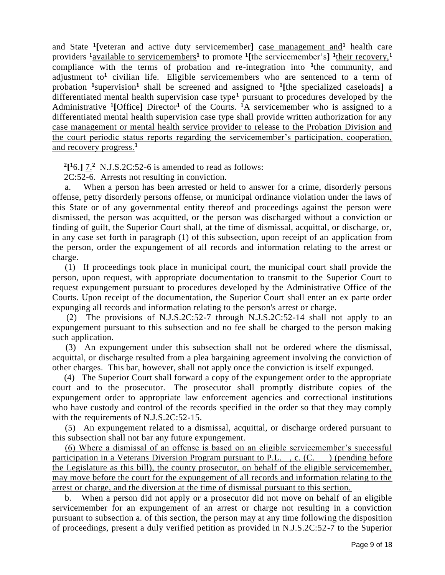and State **<sup>1</sup> [**veteran and active duty servicemember**]** case management and**<sup>1</sup>** health care providers **<sup>1</sup>**available to servicemembers**<sup>1</sup>** to promote **<sup>1</sup> [**the servicemember's**] 1** their recovery,**<sup>1</sup>** compliance with the terms of probation and re-integration into <sup>1</sup>the community, and adjustment to**<sup>1</sup>** civilian life. Eligible servicemembers who are sentenced to a term of probation <sup>1</sup>supervision<sup>1</sup> shall be screened and assigned to <sup>1</sup>[the specialized caseloads] <u>a</u> differentiated mental health supervision case type**<sup>1</sup>** pursuant to procedures developed by the Administrative <sup>1</sup>[Office] Director<sup>1</sup> of the Courts. <sup>1</sup>A servicemember who is assigned to a differentiated mental health supervision case type shall provide written authorization for any case management or mental health service provider to release to the Probation Division and the court periodic status reports regarding the servicemember's participation, cooperation, and recovery progress.**<sup>1</sup>**

 $2[$ <sup>1</sup> $6$ .]  $7.^2$  N.J.S.2C:52-6 is amended to read as follows:

2C:52-6. Arrests not resulting in conviction.

 a. When a person has been arrested or held to answer for a crime, disorderly persons offense, petty disorderly persons offense, or municipal ordinance violation under the laws of this State or of any governmental entity thereof and proceedings against the person were dismissed, the person was acquitted, or the person was discharged without a conviction or finding of guilt, the Superior Court shall, at the time of dismissal, acquittal, or discharge, or, in any case set forth in paragraph (1) of this subsection, upon receipt of an application from the person, order the expungement of all records and information relating to the arrest or charge.

 (1) If proceedings took place in municipal court, the municipal court shall provide the person, upon request, with appropriate documentation to transmit to the Superior Court to request expungement pursuant to procedures developed by the Administrative Office of the Courts. Upon receipt of the documentation, the Superior Court shall enter an ex parte order expunging all records and information relating to the person's arrest or charge.

 (2) The provisions of N.J.S.2C:52-7 through N.J.S.2C:52-14 shall not apply to an expungement pursuant to this subsection and no fee shall be charged to the person making such application.

 (3) An expungement under this subsection shall not be ordered where the dismissal, acquittal, or discharge resulted from a plea bargaining agreement involving the conviction of other charges. This bar, however, shall not apply once the conviction is itself expunged.

 (4) The Superior Court shall forward a copy of the expungement order to the appropriate court and to the prosecutor. The prosecutor shall promptly distribute copies of the expungement order to appropriate law enforcement agencies and correctional institutions who have custody and control of the records specified in the order so that they may comply with the requirements of N.J.S.2C:52-15.

 (5) An expungement related to a dismissal, acquittal, or discharge ordered pursuant to this subsection shall not bar any future expungement.

 (6) Where a dismissal of an offense is based on an eligible servicemember's successful participation in a Veterans Diversion Program pursuant to P.L., c.  $(C.$  ) (pending before the Legislature as this bill), the county prosecutor, on behalf of the eligible servicemember, may move before the court for the expungement of all records and information relating to the arrest or charge, and the diversion at the time of dismissal pursuant to this section.

 b. When a person did not apply or a prosecutor did not move on behalf of an eligible servicemember for an expungement of an arrest or charge not resulting in a conviction pursuant to subsection a. of this section, the person may at any time following the disposition of proceedings, present a duly verified petition as provided in N.J.S.2C:52-7 to the Superior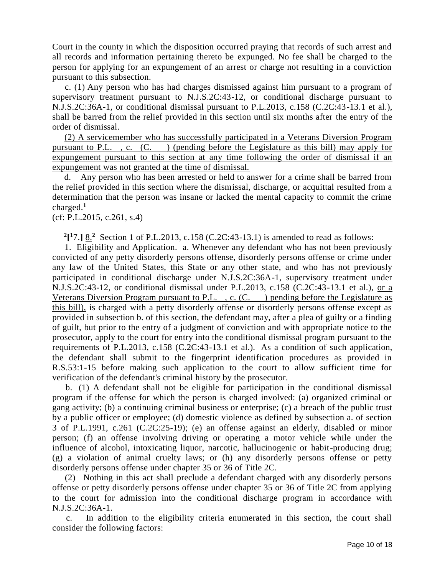Court in the county in which the disposition occurred praying that records of such arrest and all records and information pertaining thereto be expunged. No fee shall be charged to the person for applying for an expungement of an arrest or charge not resulting in a conviction pursuant to this subsection.

 c. (1) Any person who has had charges dismissed against him pursuant to a program of supervisory treatment pursuant to N.J.S.2C:43-12, or conditional discharge pursuant to N.J.S.2C:36A-1, or conditional dismissal pursuant to P.L.2013, c.158 (C.2C:43-13.1 et al.), shall be barred from the relief provided in this section until six months after the entry of the order of dismissal.

 (2) A servicemember who has successfully participated in a Veterans Diversion Program pursuant to P.L. , c. (C. ) (pending before the Legislature as this bill) may apply for expungement pursuant to this section at any time following the order of dismissal if an expungement was not granted at the time of dismissal.

 d. Any person who has been arrested or held to answer for a crime shall be barred from the relief provided in this section where the dismissal, discharge, or acquittal resulted from a determination that the person was insane or lacked the mental capacity to commit the crime charged.**<sup>1</sup>**

(cf: P.L.2015, c.261, s.4)

 $2[$ <sup>1</sup>7.]  $8.^2$  Section 1 of P.L.2013, c.158 (C.2C:43-13.1) is amended to read as follows:

 1. Eligibility and Application. a. Whenever any defendant who has not been previously convicted of any petty disorderly persons offense, disorderly persons offense or crime under any law of the United States, this State or any other state, and who has not previously participated in conditional discharge under N.J.S.2C:36A-1, supervisory treatment under N.J.S.2C:43-12, or conditional dismissal under P.L.2013, c.158 (C.2C:43-13.1 et al.), or a Veterans Diversion Program pursuant to P.L., c.  $(C.$  ) pending before the Legislature as this bill), is charged with a petty disorderly offense or disorderly persons offense except as provided in subsection b. of this section, the defendant may, after a plea of guilty or a finding of guilt, but prior to the entry of a judgment of conviction and with appropriate notice to the prosecutor, apply to the court for entry into the conditional dismissal program pursuant to the requirements of P.L.2013, c.158 (C.2C:43-13.1 et al.). As a condition of such application, the defendant shall submit to the fingerprint identification procedures as provided in R.S.53:1-15 before making such application to the court to allow sufficient time for verification of the defendant's criminal history by the prosecutor.

 b. (1) A defendant shall not be eligible for participation in the conditional dismissal program if the offense for which the person is charged involved: (a) organized criminal or gang activity; (b) a continuing criminal business or enterprise; (c) a breach of the public trust by a public officer or employee; (d) domestic violence as defined by subsection a. of section 3 of P.L.1991, c.261 (C.2C:25-19); (e) an offense against an elderly, disabled or minor person; (f) an offense involving driving or operating a motor vehicle while under the influence of alcohol, intoxicating liquor, narcotic, hallucinogenic or habit-producing drug; (g) a violation of animal cruelty laws; or (h) any disorderly persons offense or petty disorderly persons offense under chapter 35 or 36 of Title 2C.

 (2) Nothing in this act shall preclude a defendant charged with any disorderly persons offense or petty disorderly persons offense under chapter 35 or 36 of Title 2C from applying to the court for admission into the conditional discharge program in accordance with N.J.S.2C:36A-1.

 c. In addition to the eligibility criteria enumerated in this section, the court shall consider the following factors: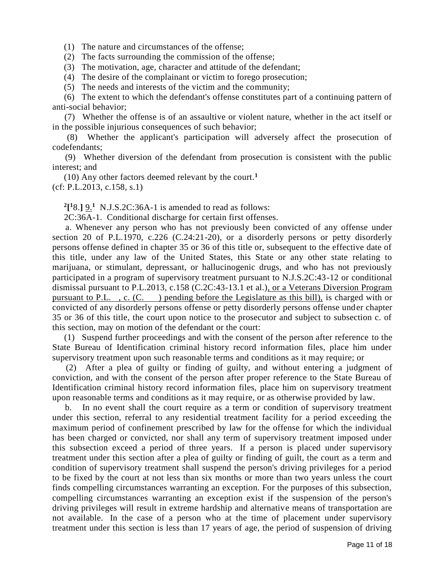(1) The nature and circumstances of the offense;

- (2) The facts surrounding the commission of the offense;
- (3) The motivation, age, character and attitude of the defendant;
- (4) The desire of the complainant or victim to forego prosecution;
- (5) The needs and interests of the victim and the community;

 (6) The extent to which the defendant's offense constitutes part of a continuing pattern of anti-social behavior;

 (7) Whether the offense is of an assaultive or violent nature, whether in the act itself or in the possible injurious consequences of such behavior;

 (8) Whether the applicant's participation will adversely affect the prosecution of codefendants;

 (9) Whether diversion of the defendant from prosecution is consistent with the public interest; and

 (10) Any other factors deemed relevant by the court.**<sup>1</sup>** (cf: P.L.2013, c.158, s.1)

 $2[^{1}8]$ .  $9.^{1}$  N.J.S.2C:36A-1 is amended to read as follows:

2C:36A-1. Conditional discharge for certain first offenses.

 a. Whenever any person who has not previously been convicted of any offense under section 20 of P.L.1970, c.226 (C.24:21-20), or a disorderly persons or petty disorderly persons offense defined in chapter 35 or 36 of this title or, subsequent to the effective date of this title, under any law of the United States, this State or any other state relating to marijuana, or stimulant, depressant, or hallucinogenic drugs, and who has not previously participated in a program of supervisory treatment pursuant to N.J.S.2C:43-12 or conditional dismissal pursuant to P.L.2013, c.158 (C.2C:43-13.1 et al.), or a Veterans Diversion Program pursuant to P.L. , c. (C. ) pending before the Legislature as this bill), is charged with or convicted of any disorderly persons offense or petty disorderly persons offense under chapter 35 or 36 of this title, the court upon notice to the prosecutor and subject to subsection c. of this section, may on motion of the defendant or the court:

 (1) Suspend further proceedings and with the consent of the person after reference to the State Bureau of Identification criminal history record information files, place him under supervisory treatment upon such reasonable terms and conditions as it may require; or

 (2) After a plea of guilty or finding of guilty, and without entering a judgment of conviction, and with the consent of the person after proper reference to the State Bureau of Identification criminal history record information files, place him on supervisory treatment upon reasonable terms and conditions as it may require, or as otherwise provided by law.

 b. In no event shall the court require as a term or condition of supervisory treatment under this section, referral to any residential treatment facility for a period exceeding the maximum period of confinement prescribed by law for the offense for which the individual has been charged or convicted, nor shall any term of supervisory treatment imposed under this subsection exceed a period of three years. If a person is placed under supervisory treatment under this section after a plea of guilty or finding of guilt, the court as a term and condition of supervisory treatment shall suspend the person's driving privileges for a period to be fixed by the court at not less than six months or more than two years unless the court finds compelling circumstances warranting an exception. For the purposes of this subsection, compelling circumstances warranting an exception exist if the suspension of the person's driving privileges will result in extreme hardship and alternative means of transportation are not available. In the case of a person who at the time of placement under supervisory treatment under this section is less than 17 years of age, the period of suspension of driving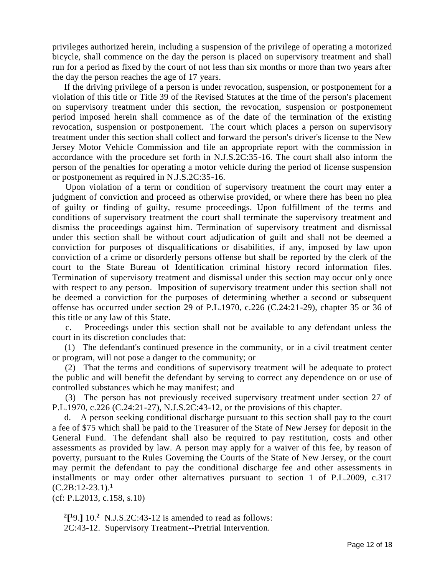privileges authorized herein, including a suspension of the privilege of operating a motorized bicycle, shall commence on the day the person is placed on supervisory treatment and shall run for a period as fixed by the court of not less than six months or more than two years after the day the person reaches the age of 17 years.

 If the driving privilege of a person is under revocation, suspension, or postponement for a violation of this title or Title 39 of the Revised Statutes at the time of the person's placement on supervisory treatment under this section, the revocation, suspension or postponement period imposed herein shall commence as of the date of the termination of the existing revocation, suspension or postponement. The court which places a person on supervisory treatment under this section shall collect and forward the person's driver's license to the New Jersey Motor Vehicle Commission and file an appropriate report with the commission in accordance with the procedure set forth in N.J.S.2C:35-16. The court shall also inform the person of the penalties for operating a motor vehicle during the period of license suspension or postponement as required in N.J.S.2C:35-16.

 Upon violation of a term or condition of supervisory treatment the court may enter a judgment of conviction and proceed as otherwise provided, or where there has been no plea of guilty or finding of guilty, resume proceedings. Upon fulfillment of the terms and conditions of supervisory treatment the court shall terminate the supervisory treatment and dismiss the proceedings against him. Termination of supervisory treatment and dismissal under this section shall be without court adjudication of guilt and shall not be deemed a conviction for purposes of disqualifications or disabilities, if any, imposed by law upon conviction of a crime or disorderly persons offense but shall be reported by the clerk of the court to the State Bureau of Identification criminal history record information files. Termination of supervisory treatment and dismissal under this section may occur only once with respect to any person. Imposition of supervisory treatment under this section shall not be deemed a conviction for the purposes of determining whether a second or subsequent offense has occurred under section 29 of P.L.1970, c.226 (C.24:21-29), chapter 35 or 36 of this title or any law of this State.

 c. Proceedings under this section shall not be available to any defendant unless the court in its discretion concludes that:

 (1) The defendant's continued presence in the community, or in a civil treatment center or program, will not pose a danger to the community; or

 (2) That the terms and conditions of supervisory treatment will be adequate to protect the public and will benefit the defendant by serving to correct any dependence on or use of controlled substances which he may manifest; and

 (3) The person has not previously received supervisory treatment under section 27 of P.L.1970, c.226 (C.24:21-27), N.J.S.2C:43-12, or the provisions of this chapter.

 d. A person seeking conditional discharge pursuant to this section shall pay to the court a fee of \$75 which shall be paid to the Treasurer of the State of New Jersey for deposit in the General Fund. The defendant shall also be required to pay restitution, costs and other assessments as provided by law. A person may apply for a waiver of this fee, by reason of poverty, pursuant to the Rules Governing the Courts of the State of New Jersey, or the court may permit the defendant to pay the conditional discharge fee and other assessments in installments or may order other alternatives pursuant to section 1 of P.L.2009, c.317 (C.2B:12-23.1).**<sup>1</sup>**

(cf: P.L2013, c.158, s.10)

 $2^{19}$ .]  $10^{2}$  N.J.S.2C:43-12 is amended to read as follows: 2C:43-12. Supervisory Treatment--Pretrial Intervention.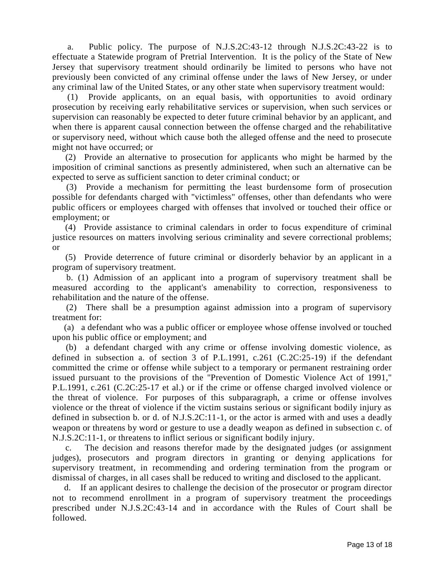a. Public policy. The purpose of N.J.S.2C:43-12 through N.J.S.2C:43-22 is to effectuate a Statewide program of Pretrial Intervention. It is the policy of the State of New Jersey that supervisory treatment should ordinarily be limited to persons who have not previously been convicted of any criminal offense under the laws of New Jersey, or under any criminal law of the United States, or any other state when supervisory treatment would:

 (1) Provide applicants, on an equal basis, with opportunities to avoid ordinary prosecution by receiving early rehabilitative services or supervision, when such services or supervision can reasonably be expected to deter future criminal behavior by an applicant, and when there is apparent causal connection between the offense charged and the rehabilitative or supervisory need, without which cause both the alleged offense and the need to prosecute might not have occurred; or

 (2) Provide an alternative to prosecution for applicants who might be harmed by the imposition of criminal sanctions as presently administered, when such an alternative can be expected to serve as sufficient sanction to deter criminal conduct; or

 (3) Provide a mechanism for permitting the least burdensome form of prosecution possible for defendants charged with "victimless" offenses, other than defendants who were public officers or employees charged with offenses that involved or touched their office or employment; or

 (4) Provide assistance to criminal calendars in order to focus expenditure of criminal justice resources on matters involving serious criminality and severe correctional problems; or

 (5) Provide deterrence of future criminal or disorderly behavior by an applicant in a program of supervisory treatment.

 b. (1) Admission of an applicant into a program of supervisory treatment shall be measured according to the applicant's amenability to correction, responsiveness to rehabilitation and the nature of the offense.

 (2) There shall be a presumption against admission into a program of supervisory treatment for:

 (a) a defendant who was a public officer or employee whose offense involved or touched upon his public office or employment; and

 (b) a defendant charged with any crime or offense involving domestic violence, as defined in subsection a. of section 3 of P.L.1991, c.261 (C.2C:25-19) if the defendant committed the crime or offense while subject to a temporary or permanent restraining order issued pursuant to the provisions of the "Prevention of Domestic Violence Act of 1991," P.L.1991, c.261 (C.2C:25-17 et al.) or if the crime or offense charged involved violence or the threat of violence. For purposes of this subparagraph, a crime or offense involves violence or the threat of violence if the victim sustains serious or significant bodily injury as defined in subsection b. or d. of N.J.S.2C:11-1, or the actor is armed with and uses a deadly weapon or threatens by word or gesture to use a deadly weapon as defined in subsection c. of N.J.S.2C:11-1, or threatens to inflict serious or significant bodily injury.

 c. The decision and reasons therefor made by the designated judges (or assignment judges), prosecutors and program directors in granting or denying applications for supervisory treatment, in recommending and ordering termination from the program or dismissal of charges, in all cases shall be reduced to writing and disclosed to the applicant.

 d. If an applicant desires to challenge the decision of the prosecutor or program director not to recommend enrollment in a program of supervisory treatment the proceedings prescribed under N.J.S.2C:43-14 and in accordance with the Rules of Court shall be followed.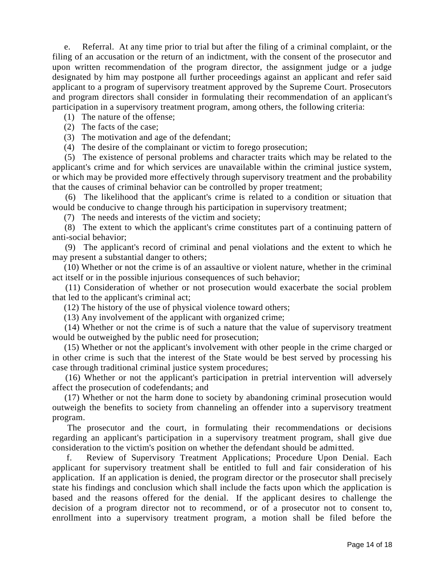e. Referral. At any time prior to trial but after the filing of a criminal complaint, or the filing of an accusation or the return of an indictment, with the consent of the prosecutor and upon written recommendation of the program director, the assignment judge or a judge designated by him may postpone all further proceedings against an applicant and refer said applicant to a program of supervisory treatment approved by the Supreme Court. Prosecutors and program directors shall consider in formulating their recommendation of an applicant's participation in a supervisory treatment program, among others, the following criteria:

(1) The nature of the offense;

(2) The facts of the case;

(3) The motivation and age of the defendant;

(4) The desire of the complainant or victim to forego prosecution;

 (5) The existence of personal problems and character traits which may be related to the applicant's crime and for which services are unavailable within the criminal justice system, or which may be provided more effectively through supervisory treatment and the probability that the causes of criminal behavior can be controlled by proper treatment;

 (6) The likelihood that the applicant's crime is related to a condition or situation that would be conducive to change through his participation in supervisory treatment;

(7) The needs and interests of the victim and society;

 (8) The extent to which the applicant's crime constitutes part of a continuing pattern of anti-social behavior;

 (9) The applicant's record of criminal and penal violations and the extent to which he may present a substantial danger to others;

 (10) Whether or not the crime is of an assaultive or violent nature, whether in the criminal act itself or in the possible injurious consequences of such behavior;

 (11) Consideration of whether or not prosecution would exacerbate the social problem that led to the applicant's criminal act;

(12) The history of the use of physical violence toward others;

(13) Any involvement of the applicant with organized crime;

 (14) Whether or not the crime is of such a nature that the value of supervisory treatment would be outweighed by the public need for prosecution;

 (15) Whether or not the applicant's involvement with other people in the crime charged or in other crime is such that the interest of the State would be best served by processing his case through traditional criminal justice system procedures;

 (16) Whether or not the applicant's participation in pretrial intervention will adversely affect the prosecution of codefendants; and

 (17) Whether or not the harm done to society by abandoning criminal prosecution would outweigh the benefits to society from channeling an offender into a supervisory treatment program.

 The prosecutor and the court, in formulating their recommendations or decisions regarding an applicant's participation in a supervisory treatment program, shall give due consideration to the victim's position on whether the defendant should be admitted.

 f. Review of Supervisory Treatment Applications; Procedure Upon Denial. Each applicant for supervisory treatment shall be entitled to full and fair consideration of his application. If an application is denied, the program director or the prosecutor shall precisely state his findings and conclusion which shall include the facts upon which the application is based and the reasons offered for the denial. If the applicant desires to challenge the decision of a program director not to recommend, or of a prosecutor not to consent to, enrollment into a supervisory treatment program, a motion shall be filed before the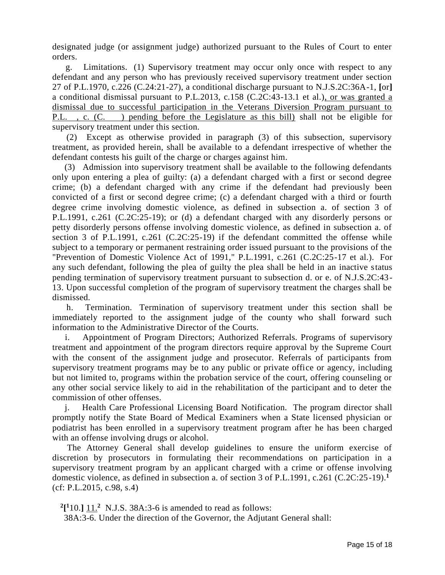designated judge (or assignment judge) authorized pursuant to the Rules of Court to enter orders.

 g. Limitations. (1) Supervisory treatment may occur only once with respect to any defendant and any person who has previously received supervisory treatment under section 27 of P.L.1970, c.226 (C.24:21-27), a conditional discharge pursuant to N.J.S.2C:36A-1, **[**or**]** a conditional dismissal pursuant to P.L.2013, c.158 (C.2C:43-13.1 et al.), or was granted a dismissal due to successful participation in the Veterans Diversion Program pursuant to P.L. , c. (C. ) pending before the Legislature as this bill) shall not be eligible for supervisory treatment under this section.

 (2) Except as otherwise provided in paragraph (3) of this subsection, supervisory treatment, as provided herein, shall be available to a defendant irrespective of whether the defendant contests his guilt of the charge or charges against him.

 (3) Admission into supervisory treatment shall be available to the following defendants only upon entering a plea of guilty: (a) a defendant charged with a first or second degree crime; (b) a defendant charged with any crime if the defendant had previously been convicted of a first or second degree crime; (c) a defendant charged with a third or fourth degree crime involving domestic violence, as defined in subsection a. of section 3 of P.L.1991, c.261 (C.2C:25-19); or (d) a defendant charged with any disorderly persons or petty disorderly persons offense involving domestic violence, as defined in subsection a. of section 3 of P.L.1991, c.261 (C.2C:25-19) if the defendant committed the offense while subject to a temporary or permanent restraining order issued pursuant to the provisions of the "Prevention of Domestic Violence Act of 1991," P.L.1991, c.261 (C.2C:25-17 et al.). For any such defendant, following the plea of guilty the plea shall be held in an inactive status pending termination of supervisory treatment pursuant to subsection d. or e. of N.J.S.2C:43- 13. Upon successful completion of the program of supervisory treatment the charges shall be dismissed.

 h. Termination. Termination of supervisory treatment under this section shall be immediately reported to the assignment judge of the county who shall forward such information to the Administrative Director of the Courts.

 i. Appointment of Program Directors; Authorized Referrals. Programs of supervisory treatment and appointment of the program directors require approval by the Supreme Court with the consent of the assignment judge and prosecutor. Referrals of participants from supervisory treatment programs may be to any public or private office or agency, including but not limited to, programs within the probation service of the court, offering counseling or any other social service likely to aid in the rehabilitation of the participant and to deter the commission of other offenses.

 j. Health Care Professional Licensing Board Notification. The program director shall promptly notify the State Board of Medical Examiners when a State licensed physician or podiatrist has been enrolled in a supervisory treatment program after he has been charged with an offense involving drugs or alcohol.

 The Attorney General shall develop guidelines to ensure the uniform exercise of discretion by prosecutors in formulating their recommendations on participation in a supervisory treatment program by an applicant charged with a crime or offense involving domestic violence, as defined in subsection a. of section 3 of P.L.1991, c.261 (C.2C:25-19).**<sup>1</sup>** (cf: P.L.2015, c.98, s.4)

 $^{2}[^{1}10.]$   $\frac{11.^{2}}{11.^{2}}$  N.J.S. 38A:3-6 is amended to read as follows:

38A:3-6. Under the direction of the Governor, the Adjutant General shall: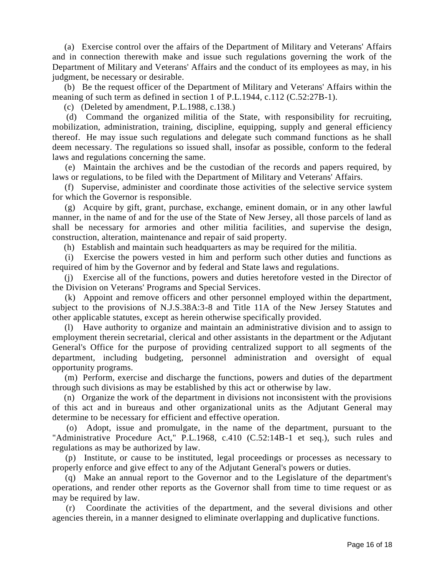(a) Exercise control over the affairs of the Department of Military and Veterans' Affairs and in connection therewith make and issue such regulations governing the work of the Department of Military and Veterans' Affairs and the conduct of its employees as may, in his judgment, be necessary or desirable.

 (b) Be the request officer of the Department of Military and Veterans' Affairs within the meaning of such term as defined in section 1 of P.L.1944, c.112 (C.52:27B-1).

(c) (Deleted by amendment, P.L.1988, c.138.)

 (d) Command the organized militia of the State, with responsibility for recruiting, mobilization, administration, training, discipline, equipping, supply and general efficiency thereof. He may issue such regulations and delegate such command functions as he shall deem necessary. The regulations so issued shall, insofar as possible, conform to the federal laws and regulations concerning the same.

 (e) Maintain the archives and be the custodian of the records and papers required, by laws or regulations, to be filed with the Department of Military and Veterans' Affairs.

 (f) Supervise, administer and coordinate those activities of the selective service system for which the Governor is responsible.

 (g) Acquire by gift, grant, purchase, exchange, eminent domain, or in any other lawful manner, in the name of and for the use of the State of New Jersey, all those parcels of land as shall be necessary for armories and other militia facilities, and supervise the design, construction, alteration, maintenance and repair of said property.

(h) Establish and maintain such headquarters as may be required for the militia.

 (i) Exercise the powers vested in him and perform such other duties and functions as required of him by the Governor and by federal and State laws and regulations.

 (j) Exercise all of the functions, powers and duties heretofore vested in the Director of the Division on Veterans' Programs and Special Services.

 (k) Appoint and remove officers and other personnel employed within the department, subject to the provisions of N.J.S.38A:3-8 and Title 11A of the New Jersey Statutes and other applicable statutes, except as herein otherwise specifically provided.

 (l) Have authority to organize and maintain an administrative division and to assign to employment therein secretarial, clerical and other assistants in the department or the Adjutant General's Office for the purpose of providing centralized support to all segments of the department, including budgeting, personnel administration and oversight of equal opportunity programs.

 (m) Perform, exercise and discharge the functions, powers and duties of the department through such divisions as may be established by this act or otherwise by law.

 (n) Organize the work of the department in divisions not inconsistent with the provisions of this act and in bureaus and other organizational units as the Adjutant General may determine to be necessary for efficient and effective operation.

 (o) Adopt, issue and promulgate, in the name of the department, pursuant to the "Administrative Procedure Act," P.L.1968, c.410 (C.52:14B-1 et seq.), such rules and regulations as may be authorized by law.

 (p) Institute, or cause to be instituted, legal proceedings or processes as necessary to properly enforce and give effect to any of the Adjutant General's powers or duties.

 (q) Make an annual report to the Governor and to the Legislature of the department's operations, and render other reports as the Governor shall from time to time request or as may be required by law.

 (r) Coordinate the activities of the department, and the several divisions and other agencies therein, in a manner designed to eliminate overlapping and duplicative functions.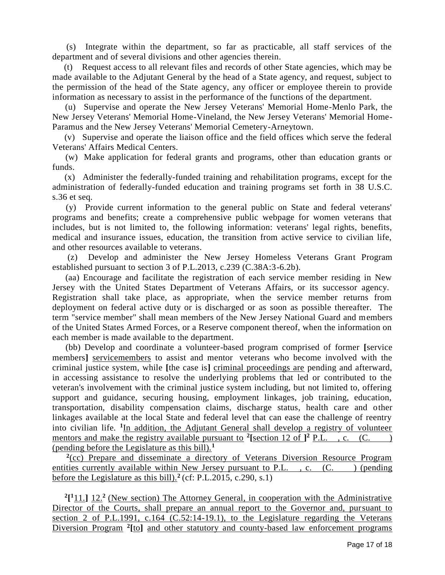(s) Integrate within the department, so far as practicable, all staff services of the department and of several divisions and other agencies therein.

 (t) Request access to all relevant files and records of other State agencies, which may be made available to the Adjutant General by the head of a State agency, and request, subject to the permission of the head of the State agency, any officer or employee therein to provide information as necessary to assist in the performance of the functions of the department.

 (u) Supervise and operate the New Jersey Veterans' Memorial Home-Menlo Park, the New Jersey Veterans' Memorial Home-Vineland, the New Jersey Veterans' Memorial Home-Paramus and the New Jersey Veterans' Memorial Cemetery-Arneytown.

 (v) Supervise and operate the liaison office and the field offices which serve the federal Veterans' Affairs Medical Centers.

 (w) Make application for federal grants and programs, other than education grants or funds.

 (x) Administer the federally-funded training and rehabilitation programs, except for the administration of federally-funded education and training programs set forth in 38 U.S.C. s.36 et seq.

 (y) Provide current information to the general public on State and federal veterans' programs and benefits; create a comprehensive public webpage for women veterans that includes, but is not limited to, the following information: veterans' legal rights, benefits, medical and insurance issues, education, the transition from active service to civilian life, and other resources available to veterans.

 (z) Develop and administer the New Jersey Homeless Veterans Grant Program established pursuant to section 3 of P.L.2013, c.239 (C.38A:3-6.2b).

 (aa) Encourage and facilitate the registration of each service member residing in New Jersey with the United States Department of Veterans Affairs, or its successor agency. Registration shall take place, as appropriate, when the service member returns from deployment on federal active duty or is discharged or as soon as possible thereafter. The term "service member" shall mean members of the New Jersey National Guard and members of the United States Armed Forces, or a Reserve component thereof, when the information on each member is made available to the department.

 (bb) Develop and coordinate a volunteer-based program comprised of former **[**service members**]** servicemembers to assist and mentor veterans who become involved with the criminal justice system, while **[**the case is**]** criminal proceedings are pending and afterward, in accessing assistance to resolve the underlying problems that led or contributed to the veteran's involvement with the criminal justice system including, but not limited to, offering support and guidance, securing housing, employment linkages, job training, education, transportation, disability compensation claims, discharge status, health care and other linkages available at the local State and federal level that can ease the challenge of reentry into civilian life. **<sup>1</sup>** In addition, the Adjutant General shall develop a registry of volunteer mentors and make the registry available pursuant to <sup>2</sup>[section 12 of  $]$ <sup>2</sup> P.L., c. (C.) (pending before the Legislature as this bill).**<sup>1</sup>**

<sup>2</sup>(cc) Prepare and disseminate a directory of Veterans Diversion Resource Program entities currently available within New Jersey pursuant to P.L.  $, c. (C. ) (pending)$ before the Legislature as this bill).**<sup>2</sup>** (cf: P.L.2015, c.290, s.1)

**2 [ <sup>1</sup>**11.**]** 12.**<sup>2</sup>**(New section) The Attorney General, in cooperation with the Administrative Director of the Courts, shall prepare an annual report to the Governor and, pursuant to section 2 of P.L.1991, c.164  $(C.52:14-19.1)$ , to the Legislature regarding the Veterans Diversion Program **<sup>2</sup> [**to**]** and other statutory and county-based law enforcement programs